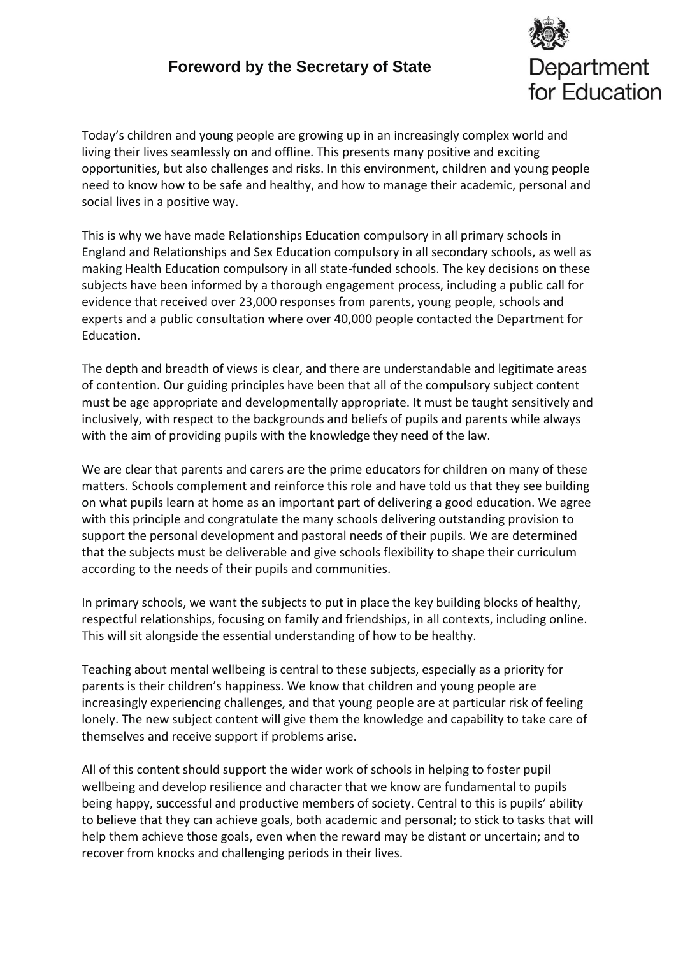## **Foreword by the Secretary of State**



Today's children and young people are growing up in an increasingly complex world and living their lives seamlessly on and offline. This presents many positive and exciting opportunities, but also challenges and risks. In this environment, children and young people need to know how to be safe and healthy, and how to manage their academic, personal and social lives in a positive way.

This is why we have made Relationships Education compulsory in all primary schools in England and Relationships and Sex Education compulsory in all secondary schools, as well as making Health Education compulsory in all state-funded schools. The key decisions on these subjects have been informed by a thorough engagement process, including a public call for evidence that received over 23,000 responses from parents, young people, schools and experts and a public consultation where over 40,000 people contacted the Department for Education.

The depth and breadth of views is clear, and there are understandable and legitimate areas of contention. Our guiding principles have been that all of the compulsory subject content must be age appropriate and developmentally appropriate. It must be taught sensitively and inclusively, with respect to the backgrounds and beliefs of pupils and parents while always with the aim of providing pupils with the knowledge they need of the law.

We are clear that parents and carers are the prime educators for children on many of these matters. Schools complement and reinforce this role and have told us that they see building on what pupils learn at home as an important part of delivering a good education. We agree with this principle and congratulate the many schools delivering outstanding provision to support the personal development and pastoral needs of their pupils. We are determined that the subjects must be deliverable and give schools flexibility to shape their curriculum according to the needs of their pupils and communities.

In primary schools, we want the subjects to put in place the key building blocks of healthy, respectful relationships, focusing on family and friendships, in all contexts, including online. This will sit alongside the essential understanding of how to be healthy.

Teaching about mental wellbeing is central to these subjects, especially as a priority for parents is their children's happiness. We know that children and young people are increasingly experiencing challenges, and that young people are at particular risk of feeling lonely. The new subject content will give them the knowledge and capability to take care of themselves and receive support if problems arise.

All of this content should support the wider work of schools in helping to foster pupil wellbeing and develop resilience and character that we know are fundamental to pupils being happy, successful and productive members of society. Central to this is pupils' ability to believe that they can achieve goals, both academic and personal; to stick to tasks that will help them achieve those goals, even when the reward may be distant or uncertain; and to recover from knocks and challenging periods in their lives.